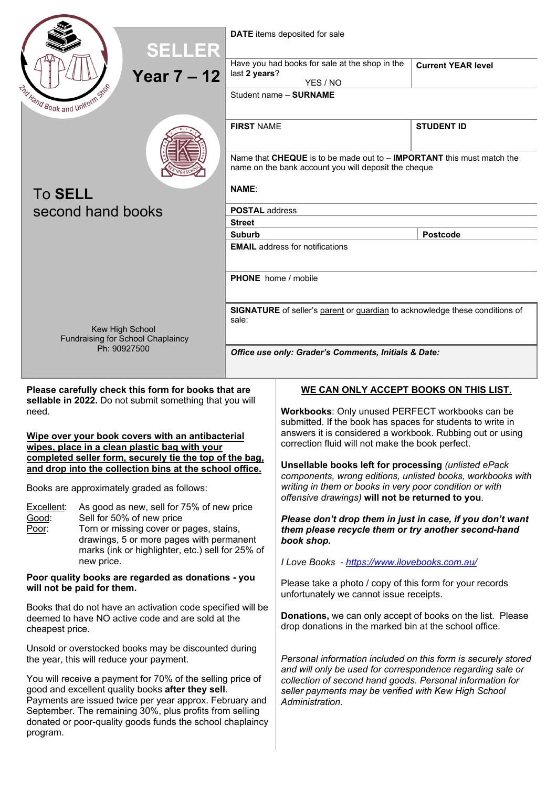



**DATE** items deposited for sale

| SELLER                                                                                                                                                                                                                                                                                                                                                                                                                                                                                                                                                                                                                                                                                                                                                                                                                                                                                                                                                                                                                                                                                                                |                   |                                                                                                                                          |                                                                                                                                                                                                                                                                                                                                                                                                                                                                                                                                                                                                                                                                                                                                                                                                                                                                                                                                                                                                                                                                                                                                                  |                           |  |  |
|-----------------------------------------------------------------------------------------------------------------------------------------------------------------------------------------------------------------------------------------------------------------------------------------------------------------------------------------------------------------------------------------------------------------------------------------------------------------------------------------------------------------------------------------------------------------------------------------------------------------------------------------------------------------------------------------------------------------------------------------------------------------------------------------------------------------------------------------------------------------------------------------------------------------------------------------------------------------------------------------------------------------------------------------------------------------------------------------------------------------------|-------------------|------------------------------------------------------------------------------------------------------------------------------------------|--------------------------------------------------------------------------------------------------------------------------------------------------------------------------------------------------------------------------------------------------------------------------------------------------------------------------------------------------------------------------------------------------------------------------------------------------------------------------------------------------------------------------------------------------------------------------------------------------------------------------------------------------------------------------------------------------------------------------------------------------------------------------------------------------------------------------------------------------------------------------------------------------------------------------------------------------------------------------------------------------------------------------------------------------------------------------------------------------------------------------------------------------|---------------------------|--|--|
|                                                                                                                                                                                                                                                                                                                                                                                                                                                                                                                                                                                                                                                                                                                                                                                                                                                                                                                                                                                                                                                                                                                       |                   |                                                                                                                                          | Have you had books for sale at the shop in the                                                                                                                                                                                                                                                                                                                                                                                                                                                                                                                                                                                                                                                                                                                                                                                                                                                                                                                                                                                                                                                                                                   | <b>Current YEAR level</b> |  |  |
| <b>Year 7-12</b><br>THand Book and Uniform Shop                                                                                                                                                                                                                                                                                                                                                                                                                                                                                                                                                                                                                                                                                                                                                                                                                                                                                                                                                                                                                                                                       |                   | last 2 years?<br>YES / NO                                                                                                                |                                                                                                                                                                                                                                                                                                                                                                                                                                                                                                                                                                                                                                                                                                                                                                                                                                                                                                                                                                                                                                                                                                                                                  |                           |  |  |
|                                                                                                                                                                                                                                                                                                                                                                                                                                                                                                                                                                                                                                                                                                                                                                                                                                                                                                                                                                                                                                                                                                                       |                   |                                                                                                                                          | Student name - SURNAME                                                                                                                                                                                                                                                                                                                                                                                                                                                                                                                                                                                                                                                                                                                                                                                                                                                                                                                                                                                                                                                                                                                           |                           |  |  |
|                                                                                                                                                                                                                                                                                                                                                                                                                                                                                                                                                                                                                                                                                                                                                                                                                                                                                                                                                                                                                                                                                                                       |                   |                                                                                                                                          |                                                                                                                                                                                                                                                                                                                                                                                                                                                                                                                                                                                                                                                                                                                                                                                                                                                                                                                                                                                                                                                                                                                                                  |                           |  |  |
| <b>To SELL</b>                                                                                                                                                                                                                                                                                                                                                                                                                                                                                                                                                                                                                                                                                                                                                                                                                                                                                                                                                                                                                                                                                                        |                   | <b>FIRST NAME</b>                                                                                                                        |                                                                                                                                                                                                                                                                                                                                                                                                                                                                                                                                                                                                                                                                                                                                                                                                                                                                                                                                                                                                                                                                                                                                                  | <b>STUDENT ID</b>         |  |  |
|                                                                                                                                                                                                                                                                                                                                                                                                                                                                                                                                                                                                                                                                                                                                                                                                                                                                                                                                                                                                                                                                                                                       |                   | Name that $CHEQUE$ is to be made out to $-$ <b>IMPORTANT</b> this must match the<br>name on the bank account you will deposit the cheque |                                                                                                                                                                                                                                                                                                                                                                                                                                                                                                                                                                                                                                                                                                                                                                                                                                                                                                                                                                                                                                                                                                                                                  |                           |  |  |
|                                                                                                                                                                                                                                                                                                                                                                                                                                                                                                                                                                                                                                                                                                                                                                                                                                                                                                                                                                                                                                                                                                                       |                   | <b>NAME:</b>                                                                                                                             |                                                                                                                                                                                                                                                                                                                                                                                                                                                                                                                                                                                                                                                                                                                                                                                                                                                                                                                                                                                                                                                                                                                                                  |                           |  |  |
|                                                                                                                                                                                                                                                                                                                                                                                                                                                                                                                                                                                                                                                                                                                                                                                                                                                                                                                                                                                                                                                                                                                       | second hand books | <b>POSTAL address</b>                                                                                                                    |                                                                                                                                                                                                                                                                                                                                                                                                                                                                                                                                                                                                                                                                                                                                                                                                                                                                                                                                                                                                                                                                                                                                                  |                           |  |  |
|                                                                                                                                                                                                                                                                                                                                                                                                                                                                                                                                                                                                                                                                                                                                                                                                                                                                                                                                                                                                                                                                                                                       |                   | <b>Street</b>                                                                                                                            |                                                                                                                                                                                                                                                                                                                                                                                                                                                                                                                                                                                                                                                                                                                                                                                                                                                                                                                                                                                                                                                                                                                                                  |                           |  |  |
|                                                                                                                                                                                                                                                                                                                                                                                                                                                                                                                                                                                                                                                                                                                                                                                                                                                                                                                                                                                                                                                                                                                       |                   | <b>Suburb</b>                                                                                                                            |                                                                                                                                                                                                                                                                                                                                                                                                                                                                                                                                                                                                                                                                                                                                                                                                                                                                                                                                                                                                                                                                                                                                                  | <b>Postcode</b>           |  |  |
|                                                                                                                                                                                                                                                                                                                                                                                                                                                                                                                                                                                                                                                                                                                                                                                                                                                                                                                                                                                                                                                                                                                       |                   | <b>EMAIL</b> address for notifications                                                                                                   |                                                                                                                                                                                                                                                                                                                                                                                                                                                                                                                                                                                                                                                                                                                                                                                                                                                                                                                                                                                                                                                                                                                                                  |                           |  |  |
|                                                                                                                                                                                                                                                                                                                                                                                                                                                                                                                                                                                                                                                                                                                                                                                                                                                                                                                                                                                                                                                                                                                       |                   | <b>PHONE</b> home / mobile                                                                                                               |                                                                                                                                                                                                                                                                                                                                                                                                                                                                                                                                                                                                                                                                                                                                                                                                                                                                                                                                                                                                                                                                                                                                                  |                           |  |  |
| sale:<br>Kew High School<br><b>Fundraising for School Chaplaincy</b>                                                                                                                                                                                                                                                                                                                                                                                                                                                                                                                                                                                                                                                                                                                                                                                                                                                                                                                                                                                                                                                  |                   |                                                                                                                                          | SIGNATURE of seller's parent or guardian to acknowledge these conditions of                                                                                                                                                                                                                                                                                                                                                                                                                                                                                                                                                                                                                                                                                                                                                                                                                                                                                                                                                                                                                                                                      |                           |  |  |
| Ph: 90927500                                                                                                                                                                                                                                                                                                                                                                                                                                                                                                                                                                                                                                                                                                                                                                                                                                                                                                                                                                                                                                                                                                          |                   | Office use only: Grader's Comments, Initials & Date:                                                                                     |                                                                                                                                                                                                                                                                                                                                                                                                                                                                                                                                                                                                                                                                                                                                                                                                                                                                                                                                                                                                                                                                                                                                                  |                           |  |  |
|                                                                                                                                                                                                                                                                                                                                                                                                                                                                                                                                                                                                                                                                                                                                                                                                                                                                                                                                                                                                                                                                                                                       |                   |                                                                                                                                          |                                                                                                                                                                                                                                                                                                                                                                                                                                                                                                                                                                                                                                                                                                                                                                                                                                                                                                                                                                                                                                                                                                                                                  |                           |  |  |
| Please carefully check this form for books that are<br>sellable in 2022. Do not submit something that you will<br>need.<br>Wipe over your book covers with an antibacterial<br>wipes, place in a clean plastic bag with your<br>completed seller form, securely tie the top of the bag,<br>and drop into the collection bins at the school office.<br>Books are approximately graded as follows:<br>Excellent:<br>As good as new, sell for 75% of new price<br>Good:<br>Sell for 50% of new price<br>Poor:<br>Torn or missing cover or pages, stains,<br>drawings, 5 or more pages with permanent<br>marks (ink or highlighter, etc.) sell for 25% of<br>new price.<br>Poor quality books are regarded as donations - you<br>will not be paid for them.<br>Books that do not have an activation code specified will be<br>deemed to have NO active code and are sold at the<br>cheapest price.<br>Unsold or overstocked books may be discounted during<br>the year, this will reduce your payment.<br>You will receive a payment for 70% of the selling price of<br>good and excellent quality books after they sell. |                   |                                                                                                                                          | Workbooks: Only unused PERFECT workbooks can be<br>submitted. If the book has spaces for students to write in<br>answers it is considered a workbook. Rubbing out or using<br>correction fluid will not make the book perfect.<br>Unsellable books left for processing (unlisted ePack<br>components, wrong editions, unlisted books, workbooks with<br>writing in them or books in very poor condition or with<br>offensive drawings) will not be returned to you.<br>Please don't drop them in just in case, if you don't want<br>them please recycle them or try another second-hand<br>book shop.<br>I Love Books - https://www.ilovebooks.com.au/<br>Please take a photo / copy of this form for your records<br>unfortunately we cannot issue receipts.<br><b>Donations, we can only accept of books on the list. Please</b><br>drop donations in the marked bin at the school office.<br>Personal information included on this form is securely stored<br>and will only be used for correspondence regarding sale or<br>collection of second hand goods. Personal information for<br>seller payments may be verified with Kew High School |                           |  |  |
| Payments are issued twice per year approx. February and<br>September. The remaining 30%, plus profits from selling<br>donated or poor-quality goods funds the school chaplaincy<br>program.                                                                                                                                                                                                                                                                                                                                                                                                                                                                                                                                                                                                                                                                                                                                                                                                                                                                                                                           |                   |                                                                                                                                          | Administration.                                                                                                                                                                                                                                                                                                                                                                                                                                                                                                                                                                                                                                                                                                                                                                                                                                                                                                                                                                                                                                                                                                                                  |                           |  |  |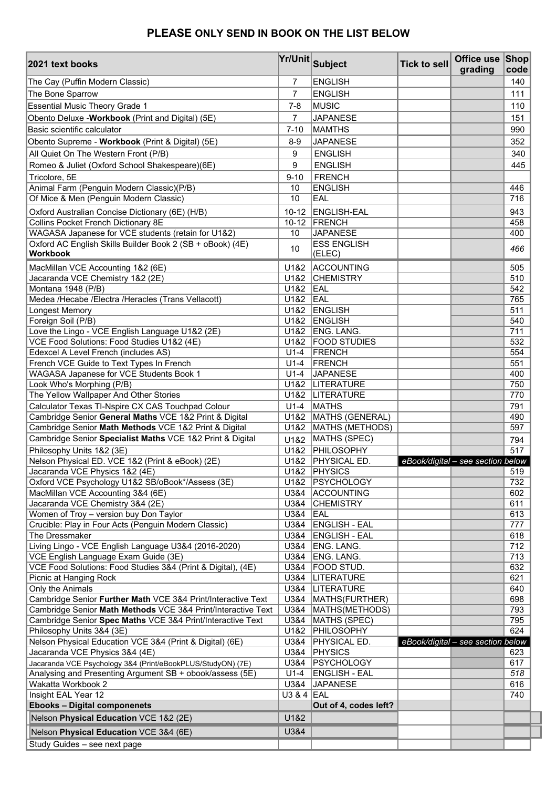## **PLEASE ONLY SEND IN BOOK ON THE LIST BELOW**

| 2021 text books                                                                                                              |                | <b>Yr/Unit Subject</b>                           | <b>Tick to sell</b> | Office use Shop<br>grading        | code       |
|------------------------------------------------------------------------------------------------------------------------------|----------------|--------------------------------------------------|---------------------|-----------------------------------|------------|
| The Cay (Puffin Modern Classic)                                                                                              | 7              | <b>ENGLISH</b>                                   |                     |                                   | 140        |
| The Bone Sparrow                                                                                                             | $\overline{7}$ | <b>ENGLISH</b>                                   |                     |                                   | 111        |
| <b>Essential Music Theory Grade 1</b>                                                                                        |                | MUSIC                                            |                     |                                   | 110        |
| Obento Deluxe - Workbook (Print and Digital) (5E)                                                                            |                | <b>JAPANESE</b>                                  |                     |                                   | 151        |
| Basic scientific calculator                                                                                                  |                | <b>MAMTHS</b>                                    |                     |                                   | 990        |
| Obento Supreme - Workbook (Print & Digital) (5E)                                                                             |                | <b>JAPANESE</b>                                  |                     |                                   | 352        |
| All Quiet On The Western Front (P/B)                                                                                         |                | <b>ENGLISH</b>                                   |                     |                                   | 340        |
| Romeo & Juliet (Oxford School Shakespeare)(6E)                                                                               | 9              | <b>ENGLISH</b>                                   |                     |                                   | 445        |
| Tricolore, 5E                                                                                                                | $9 - 10$       | <b>FRENCH</b>                                    |                     |                                   |            |
| Animal Farm (Penguin Modern Classic)(P/B)                                                                                    | 10             | <b>ENGLISH</b>                                   |                     |                                   | 446        |
| Of Mice & Men (Penguin Modern Classic)                                                                                       | 10             | EAL                                              |                     |                                   | 716        |
| Oxford Australian Concise Dictionary (6E) (H/B)                                                                              | $10 - 12$      | <b>ENGLISH-EAL</b>                               |                     |                                   | 943        |
| Collins Pocket French Dictionary 8E                                                                                          |                | 10-12 FRENCH                                     |                     |                                   | 458        |
| WAGASA Japanese for VCE students (retain for U1&2)                                                                           | 10             | <b>JAPANESE</b>                                  |                     |                                   | 400        |
| Oxford AC English Skills Builder Book 2 (SB + oBook) (4E)<br><b>Workbook</b>                                                 | 10             | <b>ESS ENGLISH</b><br>(ELEC)                     |                     |                                   | 466        |
| MacMillan VCE Accounting 1&2 (6E)                                                                                            | U1&2           | ACCOUNTING                                       |                     |                                   | 505        |
| Jacaranda VCE Chemistry 1&2 (2E)                                                                                             | U1&2           | <b>CHEMISTRY</b>                                 |                     |                                   | 510        |
| Montana 1948 (P/B)                                                                                                           | U1&2           | EAL                                              |                     |                                   | 542        |
| Medea /Hecabe /Electra /Heracles (Trans Vellacott)                                                                           | U1&2 EAL       |                                                  |                     |                                   | 765        |
| Longest Memory                                                                                                               | U1&2           | <b>ENGLISH</b>                                   |                     |                                   | 511        |
| Foreign Soil (P/B)                                                                                                           | U1&2           | <b>ENGLISH</b><br>ENG. LANG.                     |                     |                                   | 540<br>711 |
| Love the Lingo - VCE English Language U1&2 (2E)<br>VCE Food Solutions: Food Studies U1&2 (4E)                                | U1&2           | U1&2   FOOD STUDIES                              |                     |                                   | 532        |
| Edexcel A Level French (includes AS)                                                                                         | $U1-4$         | <b>FRENCH</b>                                    |                     |                                   | 554        |
| French VCE Guide to Text Types In French                                                                                     | $U1-4$         | <b>FRENCH</b>                                    |                     |                                   | 551        |
| WAGASA Japanese for VCE Students Book 1                                                                                      | $U1-4$         | <b>JAPANESE</b>                                  |                     |                                   | 400        |
| Look Who's Morphing (P/B)                                                                                                    |                | U1&2  LITERATURE                                 |                     |                                   | 750        |
| The Yellow Wallpaper And Other Stories                                                                                       |                | U1&2  LITERATURE                                 |                     |                                   | 770        |
| Calculator Texas TI-Nspire CX CAS Touchpad Colour                                                                            | $U1-4$         | <b>MATHS</b>                                     |                     |                                   | 791        |
| Cambridge Senior General Maths VCE 1&2 Print & Digital                                                                       | U1&2           | MATHS (GENERAL)                                  |                     |                                   | 490        |
| Cambridge Senior Math Methods VCE 1&2 Print & Digital                                                                        |                | U1&2   MATHS (METHODS)                           |                     |                                   | 597        |
| Cambridge Senior Specialist Maths VCE 1&2 Print & Digital                                                                    | U1&2           | MATHS (SPEC)                                     |                     |                                   | 794        |
| Philosophy Units 1&2 (3E)                                                                                                    | U1&2           | PHILOSOPHY                                       |                     |                                   | 517        |
| Nelson Physical ED. VCE 1&2 (Print & eBook) (2E)                                                                             |                | U1&2 PHYSICAL ED.                                |                     | eBook/digital - see section below |            |
| Jacaranda VCE Physics 1&2 (4E)                                                                                               |                | U1&2 PHYSICS<br>U1&2 PSYCHOLOGY                  |                     |                                   | 519.       |
| Oxford VCE Psychology U1&2 SB/oBook*/Assess (3E)<br>MacMillan VCE Accounting 3&4 (6E)                                        | U3&4           | <b>ACCOUNTING</b>                                |                     |                                   | 732<br>602 |
| Jacaranda VCE Chemistry 3&4 (2E)                                                                                             | U3&4           | <b>CHEMISTRY</b>                                 |                     |                                   | 611        |
| Women of Troy - version buy Don Taylor                                                                                       | U3&4           | EAL                                              |                     |                                   | 613        |
| Crucible: Play in Four Acts (Penguin Modern Classic)                                                                         |                | U3&4   ENGLISH - EAL                             |                     |                                   | 777        |
| The Dressmaker                                                                                                               | U3&4           | <b>ENGLISH - EAL</b>                             |                     |                                   | 618        |
| Living Lingo - VCE English Language U3&4 (2016-2020)                                                                         | U3&4           | ENG. LANG.                                       |                     |                                   | 712        |
| VCE English Language Exam Guide (3E)                                                                                         | U3&4           | ENG. LANG.                                       |                     |                                   | 713        |
| VCE Food Solutions: Food Studies 3&4 (Print & Digital), (4E)                                                                 | U3&4           | FOOD STUD.                                       |                     |                                   | 632        |
| Picnic at Hanging Rock                                                                                                       |                | U3&4  LITERATURE                                 |                     |                                   | 621        |
| Only the Animals                                                                                                             |                | U3&4 LITERATURE                                  |                     |                                   | 640        |
| Cambridge Senior Further Math VCE 3&4 Print/Interactive Text<br>Cambridge Senior Math Methods VCE 3&4 Print/Interactive Text |                | U3&4   MATHS (FURTHER)<br>U3&4   MATHS (METHODS) |                     |                                   | 698<br>793 |
| Cambridge Senior Spec Maths VCE 3&4 Print/Interactive Text                                                                   |                | U3&4   MATHS (SPEC)                              |                     |                                   | 795        |
| Philosophy Units 3&4 (3E)                                                                                                    |                | U1&2 PHILOSOPHY                                  |                     |                                   | 624        |
| Nelson Physical Education VCE 3&4 (Print & Digital) (6E)                                                                     | U3&4           | <b>PHYSICAL ED.</b>                              |                     | eBook/digital - see section below |            |
| Jacaranda VCE Physics 3&4 (4E)                                                                                               | U3&4           | <b>PHYSICS</b>                                   |                     |                                   | 623        |
| Jacaranda VCE Psychology 3&4 (Print/eBookPLUS/StudyON) (7E)                                                                  | U3&4           | <b>PSYCHOLOGY</b>                                |                     |                                   | 617        |
| Analysing and Presenting Argument SB + obook/assess (5E)                                                                     | $U1-4$         | <b>ENGLISH - EAL</b>                             |                     |                                   | 518        |
| Wakatta Workbook 2                                                                                                           | U3&4           | JAPANESE                                         |                     |                                   | 616        |
| Insight EAL Year 12                                                                                                          | U3 & 4 $ EAL$  |                                                  |                     |                                   | 740        |
| <b>Ebooks - Digital componenets</b>                                                                                          |                | Out of 4, codes left?                            |                     |                                   |            |
| Nelson Physical Education VCE 1&2 (2E)                                                                                       | U1&2           |                                                  |                     |                                   |            |
| Nelson Physical Education VCE 3&4 (6E)                                                                                       | U3&4           |                                                  |                     |                                   |            |
| Study Guides - see next page                                                                                                 |                |                                                  |                     |                                   |            |